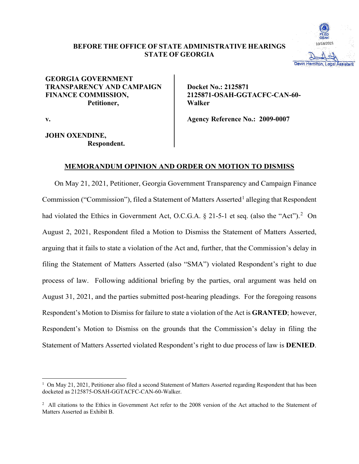# **BEFORE THE OFFICE OF STATE ADMINISTRATIVE HEARINGS STATE OF GEORGIA**



# **GEORGIA GOVERNMENT TRANSPARENCY AND CAMPAIGN FINANCE COMMISSION, Petitioner,**

**Docket No.: 2125871 2125871-OSAH-GGTACFC-CAN-60- Walker**

**v.**

**JOHN OXENDINE, Respondent.** **Agency Reference No.: 2009-0007**

# **MEMORANDUM OPINION AND ORDER ON MOTION TO DISMISS**

On May 21, 2021, Petitioner, Georgia Government Transparency and Campaign Finance Commission ("Commission"), filed a Statement of Matters Asserted<sup>1</sup> alleging that Respondent had violated the Ethics in Government Act, O.C.G.A.  $\S$  21-5-1 et seq. (also the "Act").<sup>2</sup> On August 2, 2021, Respondent filed a Motion to Dismiss the Statement of Matters Asserted, arguing that it fails to state a violation of the Act and, further, that the Commission's delay in filing the Statement of Matters Asserted (also "SMA") violated Respondent's right to due process of law. Following additional briefing by the parties, oral argument was held on August 31, 2021, and the parties submitted post-hearing pleadings. For the foregoing reasons Respondent's Motion to Dismiss for failure to state a violation of the Act is **GRANTED**; however, Respondent's Motion to Dismiss on the grounds that the Commission's delay in filing the Statement of Matters Asserted violated Respondent's right to due process of law is **DENIED**.

<sup>&</sup>lt;sup>1</sup> On May 21, 2021, Petitioner also filed a second Statement of Matters Asserted regarding Respondent that has been docketed as 2125875-OSAH-GGTACFC-CAN-60-Walker.

<sup>&</sup>lt;sup>2</sup> All citations to the Ethics in Government Act refer to the 2008 version of the Act attached to the Statement of Matters Asserted as Exhibit B.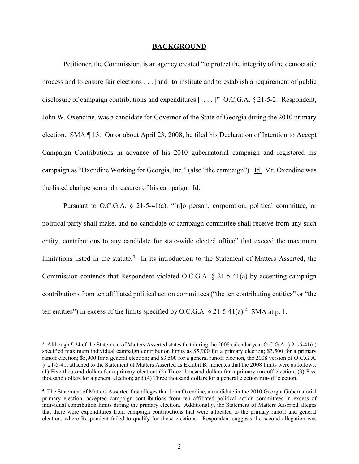#### **BACKGROUND**

Petitioner, the Commission, is an agency created "to protect the integrity of the democratic process and to ensure fair elections . . . [and] to institute and to establish a requirement of public disclosure of campaign contributions and expenditures [....]" O.C.G.A. § 21-5-2. Respondent, John W. Oxendine, was a candidate for Governor of the State of Georgia during the 2010 primary election. SMA ¶ 13. On or about April 23, 2008, he filed his Declaration of Intention to Accept Campaign Contributions in advance of his 2010 gubernatorial campaign and registered his campaign as "Oxendine Working for Georgia, Inc." (also "the campaign"). Id. Mr. Oxendine was the listed chairperson and treasurer of his campaign. Id.

Pursuant to O.C.G.A. § 21-5-41(a), "[n]o person, corporation, political committee, or political party shall make, and no candidate or campaign committee shall receive from any such entity, contributions to any candidate for state-wide elected office" that exceed the maximum limitations listed in the statute.<sup>3</sup> In its introduction to the Statement of Matters Asserted, the Commission contends that Respondent violated O.C.G.A. § 21-5-41(a) by accepting campaign contributions from ten affiliated political action committees ("the ten contributing entities" or "the ten entities") in excess of the limits specified by O.C.G.A.  $\S 21-5-41(a)$ .<sup>4</sup> SMA at p. 1.

<sup>&</sup>lt;sup>3</sup> Although  $\P$  24 of the Statement of Matters Asserted states that during the 2008 calendar year O.C.G.A. § 21-5-41(a) specified maximum individual campaign contribution limits as \$5,900 for a primary election; \$3,500 for a primary runoff election; \$5,900 for a general election; and \$3,500 for a general runoff election, the 2008 version of O.C.G.A. § 21-5-41, attached to the Statement of Matters Asserted as Exhibit B, indicates that the 2008 limits were as follows: (1) Five thousand dollars for a primary election; (2) Three thousand dollars for a primary run-off election; (3) Five thousand dollars for a general election; and (4) Three thousand dollars for a general election run-off election.

<sup>4</sup> The Statement of Matters Asserted first alleges that John Oxendine, a candidate in the 2010 Georgia Gubernatorial primary election, accepted campaign contributions from ten affiliated political action committees in excess of individual contribution limits during the primary election. Additionally, the Statement of Matters Asserted alleges that there were expenditures from campaign contributions that were allocated to the primary runoff and general election, where Respondent failed to qualify for those elections. Respondent suggests the second allegation was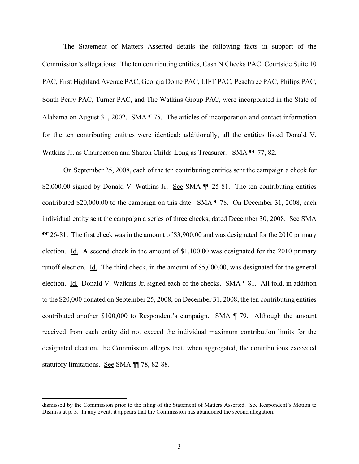The Statement of Matters Asserted details the following facts in support of the Commission's allegations: The ten contributing entities, Cash N Checks PAC, Courtside Suite 10 PAC, First Highland Avenue PAC, Georgia Dome PAC, LIFT PAC, Peachtree PAC, Philips PAC, South Perry PAC, Turner PAC, and The Watkins Group PAC, were incorporated in the State of Alabama on August 31, 2002. SMA ¶ 75. The articles of incorporation and contact information for the ten contributing entities were identical; additionally, all the entities listed Donald V. Watkins Jr. as Chairperson and Sharon Childs-Long as Treasurer. SMA ¶¶ 77, 82.

On September 25, 2008, each of the ten contributing entities sent the campaign a check for \$2,000.00 signed by Donald V. Watkins Jr. See SMA  $\P$  25-81. The ten contributing entities contributed \$20,000.00 to the campaign on this date. SMA ¶ 78. On December 31, 2008, each individual entity sent the campaign a series of three checks, dated December 30, 2008. See SMA ¶¶ 26-81. The first check was in the amount of \$3,900.00 and was designated for the 2010 primary election. Id. A second check in the amount of \$1,100.00 was designated for the 2010 primary runoff election. Id. The third check, in the amount of \$5,000.00, was designated for the general election. Id. Donald V. Watkins Jr. signed each of the checks. SMA ¶ 81. All told, in addition to the \$20,000 donated on September 25, 2008, on December 31, 2008, the ten contributing entities contributed another \$100,000 to Respondent's campaign. SMA ¶ 79. Although the amount received from each entity did not exceed the individual maximum contribution limits for the designated election, the Commission alleges that, when aggregated, the contributions exceeded statutory limitations. See SMA ¶¶ 78, 82-88.

dismissed by the Commission prior to the filing of the Statement of Matters Asserted. See Respondent's Motion to Dismiss at p. 3. In any event, it appears that the Commission has abandoned the second allegation.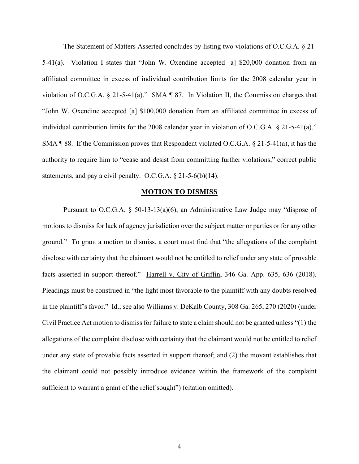The Statement of Matters Asserted concludes by listing two violations of O.C.G.A. § 21- 5-41(a). Violation I states that "John W. Oxendine accepted [a] \$20,000 donation from an affiliated committee in excess of individual contribution limits for the 2008 calendar year in violation of O.C.G.A. § 21-5-41(a)." SMA ¶ 87. In Violation II, the Commission charges that "John W. Oxendine accepted [a] \$100,000 donation from an affiliated committee in excess of individual contribution limits for the 2008 calendar year in violation of O.C.G.A. § 21-5-41(a)." SMA ¶ 88. If the Commission proves that Respondent violated O.C.G.A. § 21-5-41(a), it has the authority to require him to "cease and desist from committing further violations," correct public statements, and pay a civil penalty. O.C.G.A.  $\S 21-5-6(b)(14)$ .

#### **MOTION TO DISMISS**

Pursuant to O.C.G.A. § 50-13-13(a)(6), an Administrative Law Judge may "dispose of motions to dismiss for lack of agency jurisdiction over the subject matter or parties or for any other ground." To grant a motion to dismiss, a court must find that "the allegations of the complaint disclose with certainty that the claimant would not be entitled to relief under any state of provable facts asserted in support thereof." Harrell v. City of Griffin, 346 Ga. App. 635, 636 (2018). Pleadings must be construed in "the light most favorable to the plaintiff with any doubts resolved in the plaintiff's favor." Id.; see also Williams v. DeKalb County, 308 Ga. 265, 270 (2020) (under Civil Practice Act motion to dismiss for failure to state a claim should not be granted unless "(1) the allegations of the complaint disclose with certainty that the claimant would not be entitled to relief under any state of provable facts asserted in support thereof; and (2) the movant establishes that the claimant could not possibly introduce evidence within the framework of the complaint sufficient to warrant a grant of the relief sought") (citation omitted).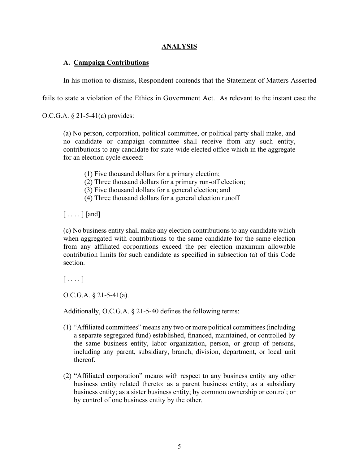## **ANALYSIS**

# **A. Campaign Contributions**

In his motion to dismiss, Respondent contends that the Statement of Matters Asserted

fails to state a violation of the Ethics in Government Act. As relevant to the instant case the

O.C.G.A. § 21-5-41(a) provides:

(a) No person, corporation, political committee, or political party shall make, and no candidate or campaign committee shall receive from any such entity, contributions to any candidate for state-wide elected office which in the aggregate for an election cycle exceed:

- (1) Five thousand dollars for a primary election;
- (2) Three thousand dollars for a primary run-off election;
- (3) Five thousand dollars for a general election; and
- (4) Three thousand dollars for a general election runoff

 $[\ldots]$  [and]

(c) No business entity shall make any election contributions to any candidate which when aggregated with contributions to the same candidate for the same election from any affiliated corporations exceed the per election maximum allowable contribution limits for such candidate as specified in subsection (a) of this Code section.

 $[\ldots]$ 

O.C.G.A. § 21-5-41(a).

Additionally, O.C.G.A. § 21-5-40 defines the following terms:

- (1) "Affiliated committees" means any two or more political committees(including a separate segregated fund) established, financed, maintained, or controlled by the same business entity, labor organization, person, or group of persons, including any parent, subsidiary, branch, division, department, or local unit thereof.
- (2) "Affiliated corporation" means with respect to any business entity any other business entity related thereto: as a parent business entity; as a subsidiary business entity; as a sister business entity; by common ownership or control; or by control of one business entity by the other.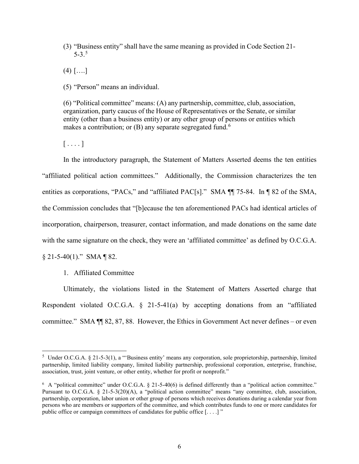(3) "Business entity" shall have the same meaning as provided in Code Section 21-  $5-3.5$ 

 $(4)$   $[....]$ 

(5) "Person" means an individual.

(6) "Political committee" means: (A) any partnership, committee, club, association, organization, party caucus of the House of Representatives or the Senate, or similar entity (other than a business entity) or any other group of persons or entities which makes a contribution; or (B) any separate segregated fund.<sup>6</sup>

 $[\ldots]$ 

In the introductory paragraph, the Statement of Matters Asserted deems the ten entities "affiliated political action committees." Additionally, the Commission characterizes the ten entities as corporations, "PACs," and "affiliated PAC[s]." SMA ¶¶ 75-84. In ¶ 82 of the SMA, the Commission concludes that "[b]ecause the ten aforementioned PACs had identical articles of incorporation, chairperson, treasurer, contact information, and made donations on the same date with the same signature on the check, they were an 'affiliated committee' as defined by O.C.G.A.

 $§$  21-5-40(1)." SMA ¶ 82.

1. Affiliated Committee

Ultimately, the violations listed in the Statement of Matters Asserted charge that Respondent violated O.C.G.A. § 21-5-41(a) by accepting donations from an "affiliated committee." SMA ¶¶ 82, 87, 88. However, the Ethics in Government Act never defines – or even

<sup>&</sup>lt;sup>5</sup> Under O.C.G.A. § 21-5-3(1), a "'Business entity' means any corporation, sole proprietorship, partnership, limited partnership, limited liability company, limited liability partnership, professional corporation, enterprise, franchise, association, trust, joint venture, or other entity, whether for profit or nonprofit."

<sup>&</sup>lt;sup>6</sup> A "political committee" under O.C.G.A. § 21-5-40(6) is defined differently than a "political action committee." Pursuant to O.C.G.A. § 21-5-3(20)(A), a "political action committee" means "any committee, club, association, partnership, corporation, labor union or other group of persons which receives donations during a calendar year from persons who are members or supporters of the committee, and which contributes funds to one or more candidates for public office or campaign committees of candidates for public office [...]"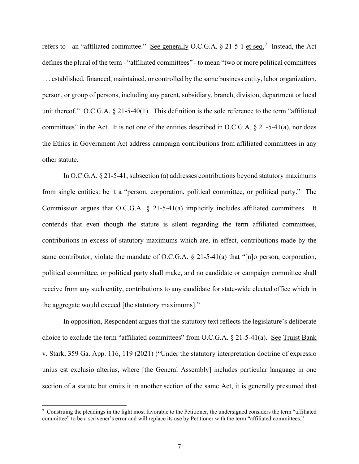refers to - an "affiliated committee." See generally O.C.G.A.  $\S$  21-5-1 et seq.<sup>7</sup> Instead, the Act defines the plural of the term - "affiliated committees" - to mean "two or more political committees . . . established, financed, maintained, or controlled by the same business entity, labor organization, person, or group of persons, including any parent, subsidiary, branch, division, department or local unit thereof." O.C.G.A. § 21-5-40(1). This definition is the sole reference to the term "affiliated committees" in the Act. It is not one of the entities described in O.C.G.A.  $\S 21-5-41(a)$ , nor does the Ethics in Government Act address campaign contributions from affiliated committees in any other statute.

In O.C.G.A. § 21-5-41, subsection (a) addresses contributions beyond statutory maximums from single entities: be it a "person, corporation, political committee, or political party." The Commission argues that O.C.G.A. § 21-5-41(a) implicitly includes affiliated committees. It contends that even though the statute is silent regarding the term affiliated committees, contributions in excess of statutory maximums which are, in effect, contributions made by the same contributor, violate the mandate of O.C.G.A. § 21-5-41(a) that "[n]o person, corporation, political committee, or political party shall make, and no candidate or campaign committee shall receive from any such entity, contributions to any candidate for state-wide elected office which in the aggregate would exceed [the statutory maximums]."

In opposition, Respondent argues that the statutory text reflects the legislature's deliberate choice to exclude the term "affiliated committees" from O.C.G.A. § 21-5-41(a). See Truist Bank v. Stark, 359 Ga. App. 116, 119 (2021) ("Under the statutory interpretation doctrine of expressio unius est exclusio alterius, where [the General Assembly] includes particular language in one section of a statute but omits it in another section of the same Act, it is generally presumed that

 $7$  Construing the pleadings in the light most favorable to the Petitioner, the undersigned considers the term "affiliated committee" to be a scrivener's error and will replace its use by Petitioner with the term "affiliated committees."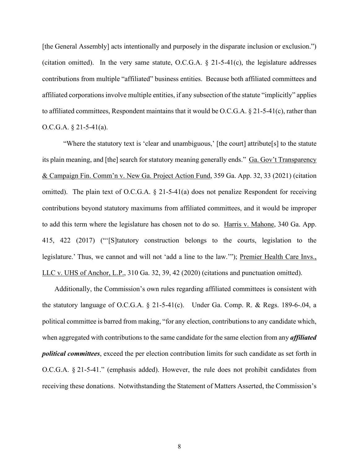[the General Assembly] acts intentionally and purposely in the disparate inclusion or exclusion.") (citation omitted). In the very same statute, O.C.G.A.  $\S$  21-5-41(c), the legislature addresses contributions from multiple "affiliated" business entities. Because both affiliated committees and affiliated corporations involve multiple entities, if any subsection of the statute "implicitly" applies to affiliated committees, Respondent maintains that it would be O.C.G.A.  $\S 21-5-41(c)$ , rather than O.C.G.A. § 21-5-41(a).

"Where the statutory text is 'clear and unambiguous,' [the court] attribute[s] to the statute its plain meaning, and [the] search for statutory meaning generally ends." Ga. Gov't Transparency & Campaign Fin. Comm'n v. New Ga. Project Action Fund, 359 Ga. App. 32, 33 (2021) (citation omitted). The plain text of O.C.G.A. § 21-5-41(a) does not penalize Respondent for receiving contributions beyond statutory maximums from affiliated committees, and it would be improper to add this term where the legislature has chosen not to do so. Harris v. Mahone, 340 Ga. App. 415, 422 (2017) ("'[S]tatutory construction belongs to the courts, legislation to the legislature.' Thus, we cannot and will not 'add a line to the law.'"); Premier Health Care Invs., LLC v. UHS of Anchor, L.P., 310 Ga. 32, 39, 42 (2020) (citations and punctuation omitted).

Additionally, the Commission's own rules regarding affiliated committees is consistent with the statutory language of O.C.G.A. § 21-5-41(c). Under Ga. Comp. R. & Regs. 189-6-.04, a political committee is barred from making, "for any election, contributions to any candidate which, when aggregated with contributions to the same candidate for the same election from any *affiliated political committees*, exceed the per election contribution limits for such candidate as set forth in O.C.G.A. § 21-5-41." (emphasis added). However, the rule does not prohibit candidates from receiving these donations. Notwithstanding the Statement of Matters Asserted, the Commission's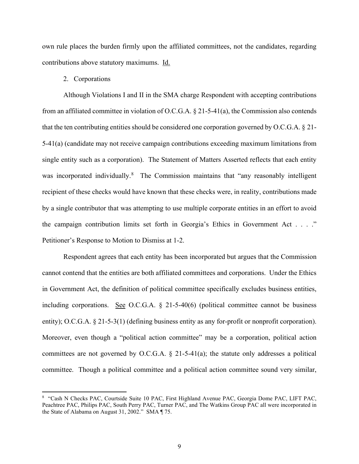own rule places the burden firmly upon the affiliated committees, not the candidates, regarding contributions above statutory maximums. Id.

### 2. Corporations

Although Violations I and II in the SMA charge Respondent with accepting contributions from an affiliated committee in violation of O.C.G.A. § 21-5-41(a), the Commission also contends that the ten contributing entities should be considered one corporation governed by O.C.G.A. § 21- 5-41(a) (candidate may not receive campaign contributions exceeding maximum limitations from single entity such as a corporation). The Statement of Matters Asserted reflects that each entity was incorporated individually.<sup>8</sup> The Commission maintains that "any reasonably intelligent recipient of these checks would have known that these checks were, in reality, contributions made by a single contributor that was attempting to use multiple corporate entities in an effort to avoid the campaign contribution limits set forth in Georgia's Ethics in Government Act . . . ." Petitioner's Response to Motion to Dismiss at 1-2.

Respondent agrees that each entity has been incorporated but argues that the Commission cannot contend that the entities are both affiliated committees and corporations. Under the Ethics in Government Act, the definition of political committee specifically excludes business entities, including corporations. See O.C.G.A.  $\S$  21-5-40(6) (political committee cannot be business entity); O.C.G.A. § 21-5-3(1) (defining business entity as any for-profit or nonprofit corporation). Moreover, even though a "political action committee" may be a corporation, political action committees are not governed by O.C.G.A. § 21-5-41(a); the statute only addresses a political committee. Though a political committee and a political action committee sound very similar,

<sup>&</sup>lt;sup>8</sup> "Cash N Checks PAC, Courtside Suite 10 PAC, First Highland Avenue PAC, Georgia Dome PAC, LIFT PAC, Peachtree PAC, Philips PAC, South Perry PAC, Turner PAC, and The Watkins Group PAC all were incorporated in the State of Alabama on August 31, 2002." SMA ¶ 75.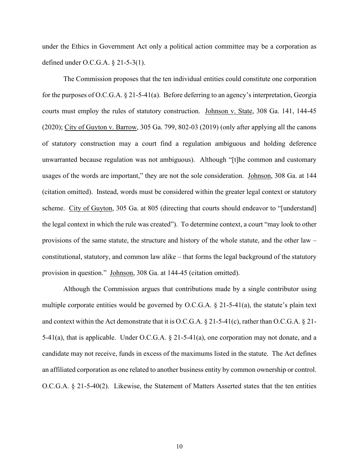under the Ethics in Government Act only a political action committee may be a corporation as defined under O.C.G.A. § 21-5-3(1).

The Commission proposes that the ten individual entities could constitute one corporation for the purposes of O.C.G.A. § 21-5-41(a). Before deferring to an agency's interpretation, Georgia courts must employ the rules of statutory construction. Johnson v. State, 308 Ga. 141, 144-45 (2020); City of Guyton v. Barrow, 305 Ga. 799, 802-03 (2019) (only after applying all the canons of statutory construction may a court find a regulation ambiguous and holding deference unwarranted because regulation was not ambiguous). Although "[t]he common and customary usages of the words are important," they are not the sole consideration. Johnson, 308 Ga. at 144 (citation omitted). Instead, words must be considered within the greater legal context or statutory scheme. City of Guyton, 305 Ga. at 805 (directing that courts should endeavor to "[understand] the legal context in which the rule was created"). To determine context, a court "may look to other provisions of the same statute, the structure and history of the whole statute, and the other law – constitutional, statutory, and common law alike – that forms the legal background of the statutory provision in question." Johnson, 308 Ga. at 144-45 (citation omitted).

Although the Commission argues that contributions made by a single contributor using multiple corporate entities would be governed by O.C.G.A. § 21-5-41(a), the statute's plain text and context within the Act demonstrate that it is O.C.G.A. § 21-5-41(c), rather than O.C.G.A. § 21- 5-41(a), that is applicable. Under O.C.G.A. § 21-5-41(a), one corporation may not donate, and a candidate may not receive, funds in excess of the maximums listed in the statute. The Act defines an affiliated corporation as one related to another business entity by common ownership or control. O.C.G.A. § 21-5-40(2). Likewise, the Statement of Matters Asserted states that the ten entities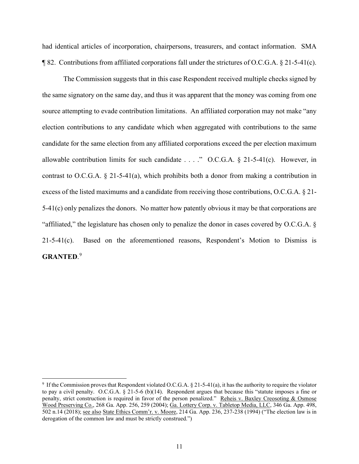had identical articles of incorporation, chairpersons, treasurers, and contact information. SMA  $\P$  82. Contributions from affiliated corporations fall under the strictures of O.C.G.A. § 21-5-41(c).

The Commission suggests that in this case Respondent received multiple checks signed by the same signatory on the same day, and thus it was apparent that the money was coming from one source attempting to evade contribution limitations. An affiliated corporation may not make "any election contributions to any candidate which when aggregated with contributions to the same candidate for the same election from any affiliated corporations exceed the per election maximum allowable contribution limits for such candidate  $\dots$  ." O.C.G.A. § 21-5-41(c). However, in contrast to O.C.G.A. § 21-5-41(a), which prohibits both a donor from making a contribution in excess of the listed maximums and a candidate from receiving those contributions, O.C.G.A. § 21- 5-41(c) only penalizes the donors. No matter how patently obvious it may be that corporations are "affiliated," the legislature has chosen only to penalize the donor in cases covered by O.C.G.A. § 21-5-41(c). Based on the aforementioned reasons, Respondent's Motion to Dismiss is **GRANTED**. 9

<sup>&</sup>lt;sup>9</sup> If the Commission proves that Respondent violated O.C.G.A. § 21-5-41(a), it has the authority to require the violator to pay a civil penalty. O.C.G.A.  $\S$  21-5-6 (b)(14). Respondent argues that because this "statute imposes a fine or penalty, strict construction is required in favor of the person penalized." Reheis v. Baxley Creosoting & Osmose Wood Preserving Co., 268 Ga. App. 256, 259 (2004); Ga. Lottery Corp. v. Tabletop Media, LLC, 346 Ga. App. 498, 502 n.14 (2018); see also State Ethics Comm'r. v. Moore, 214 Ga. App. 236, 237-238 (1994) ("The election law is in derogation of the common law and must be strictly construed.")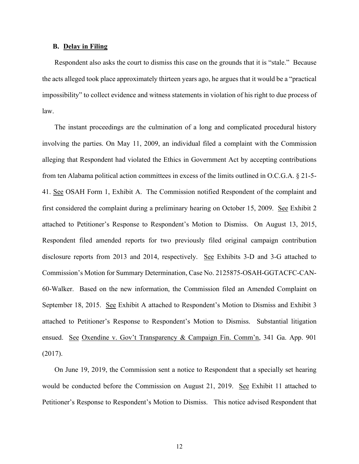### **B. Delay in Filing**

Respondent also asks the court to dismiss this case on the grounds that it is "stale." Because the acts alleged took place approximately thirteen years ago, he argues that it would be a "practical impossibility" to collect evidence and witness statements in violation of his right to due process of law.

The instant proceedings are the culmination of a long and complicated procedural history involving the parties. On May 11, 2009, an individual filed a complaint with the Commission alleging that Respondent had violated the Ethics in Government Act by accepting contributions from ten Alabama political action committees in excess of the limits outlined in O.C.G.A. § 21-5- 41. See OSAH Form 1, Exhibit A. The Commission notified Respondent of the complaint and first considered the complaint during a preliminary hearing on October 15, 2009. See Exhibit 2 attached to Petitioner's Response to Respondent's Motion to Dismiss. On August 13, 2015, Respondent filed amended reports for two previously filed original campaign contribution disclosure reports from 2013 and 2014, respectively. See Exhibits 3-D and 3-G attached to Commission's Motion for Summary Determination, Case No. 2125875-OSAH-GGTACFC-CAN-60-Walker. Based on the new information, the Commission filed an Amended Complaint on September 18, 2015. See Exhibit A attached to Respondent's Motion to Dismiss and Exhibit 3 attached to Petitioner's Response to Respondent's Motion to Dismiss. Substantial litigation ensued. See Oxendine v. Gov't Transparency & Campaign Fin. Comm'n, 341 Ga. App. 901 (2017).

On June 19, 2019, the Commission sent a notice to Respondent that a specially set hearing would be conducted before the Commission on August 21, 2019. See Exhibit 11 attached to Petitioner's Response to Respondent's Motion to Dismiss. This notice advised Respondent that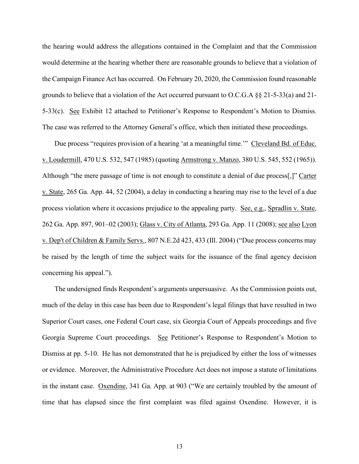the hearing would address the allegations contained in the Complaint and that the Commission would determine at the hearing whether there are reasonable grounds to believe that a violation of the Campaign Finance Act has occurred. On February 20, 2020, the Commission found reasonable grounds to believe that a violation of the Act occurred pursuant to O.C.G.A §§ 21-5-33(a) and 21- 5-33(c). See Exhibit 12 attached to Petitioner's Response to Respondent's Motion to Dismiss. The case was referred to the Attorney General's office, which then initiated these proceedings.

Due process "requires provision of a hearing 'at a meaningful time.'" Cleveland Bd. of Educ. v. Loudermill, 470 U.S. 532, 547 (1985) (quoting Armstrong v. Manzo, 380 U.S. 545, 552 (1965)). Although "the mere passage of time is not enough to constitute a denial of due process[,]" Carter v. State, 265 Ga. App. 44, 52 (2004), a delay in conducting a hearing may rise to the level of a due process violation where it occasions prejudice to the appealing party. See, e.g., Spradlin v. State, 262 Ga. App. 897, 901–02 (2003); Glass v. City of Atlanta, 293 Ga. App. 11 (2008); see also Lyon v. Dep't of Children & Family Servs., 807 N.E.2d 423, 433 (Ill. 2004) ("Due process concerns may be raised by the length of time the subject waits for the issuance of the final agency decision concerning his appeal.").

The undersigned finds Respondent's arguments unpersuasive. As the Commission points out, much of the delay in this case has been due to Respondent's legal filings that have resulted in two Superior Court cases, one Federal Court case, six Georgia Court of Appeals proceedings and five Georgia Supreme Court proceedings. See Petitioner's Response to Respondent's Motion to Dismiss at pp. 5-10. He has not demonstrated that he is prejudiced by either the loss of witnesses or evidence. Moreover, the Administrative Procedure Act does not impose a statute of limitations in the instant case. Oxendine, 341 Ga. App. at 903 ("We are certainly troubled by the amount of time that has elapsed since the first complaint was filed against Oxendine. However, it is